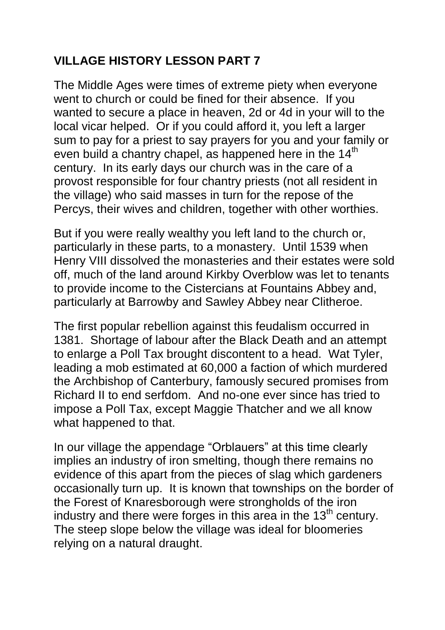## **VILLAGE HISTORY LESSON PART 7**

The Middle Ages were times of extreme piety when everyone went to church or could be fined for their absence. If you wanted to secure a place in heaven, 2d or 4d in your will to the local vicar helped. Or if you could afford it, you left a larger sum to pay for a priest to say prayers for you and your family or even build a chantry chapel, as happened here in the  $14<sup>th</sup>$ century. In its early days our church was in the care of a provost responsible for four chantry priests (not all resident in the village) who said masses in turn for the repose of the Percys, their wives and children, together with other worthies.

But if you were really wealthy you left land to the church or, particularly in these parts, to a monastery. Until 1539 when Henry VIII dissolved the monasteries and their estates were sold off, much of the land around Kirkby Overblow was let to tenants to provide income to the Cistercians at Fountains Abbey and, particularly at Barrowby and Sawley Abbey near Clitheroe.

The first popular rebellion against this feudalism occurred in 1381. Shortage of labour after the Black Death and an attempt to enlarge a Poll Tax brought discontent to a head. Wat Tyler, leading a mob estimated at 60,000 a faction of which murdered the Archbishop of Canterbury, famously secured promises from Richard II to end serfdom. And no-one ever since has tried to impose a Poll Tax, except Maggie Thatcher and we all know what happened to that.

In our village the appendage "Orblauers" at this time clearly implies an industry of iron smelting, though there remains no evidence of this apart from the pieces of slag which gardeners occasionally turn up. It is known that townships on the border of the Forest of Knaresborough were strongholds of the iron industry and there were forges in this area in the  $13<sup>th</sup>$  century. The steep slope below the village was ideal for bloomeries relying on a natural draught.